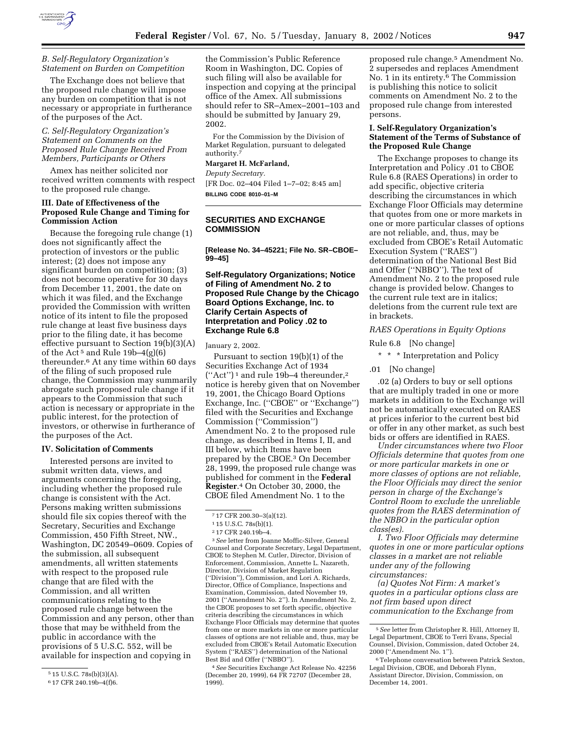

### *B. Self-Regulatory Organization's Statement on Burden on Competition*

The Exchange does not believe that the proposed rule change will impose any burden on competition that is not necessary or appropriate in furtherance of the purposes of the Act.

## *C. Self-Regulatory Organization's Statement on Comments on the Proposed Rule Change Received From Members, Participants or Others*

Amex has neither solicited nor received written comments with respect to the proposed rule change.

### **III. Date of Effectiveness of the Proposed Rule Change and Timing for Commission Action**

Because the foregoing rule change (1) does not significantly affect the protection of investors or the public interest; (2) does not impose any significant burden on competition; (3) does not become operative for 30 days from December 11, 2001, the date on which it was filed, and the Exchange provided the Commission with written notice of its intent to file the proposed rule change at least five business days prior to the filing date, it has become effective pursuant to Section 19(b)(3)(A) of the Act<sup>5</sup> and Rule 19b–4(g)(6) thereunder.6 At any time within 60 days of the filing of such proposed rule change, the Commission may summarily abrogate such proposed rule change if it appears to the Commission that such action is necessary or appropriate in the public interest, for the protection of investors, or otherwise in furtherance of the purposes of the Act.

#### **IV. Solicitation of Comments**

Interested persons are invited to submit written data, views, and arguments concerning the foregoing, including whether the proposed rule change is consistent with the Act. Persons making written submissions should file six copies thereof with the Secretary, Securities and Exchange Commission, 450 Fifth Street, NW., Washington, DC 20549–0609. Copies of the submission, all subsequent amendments, all written statements with respect to the proposed rule change that are filed with the Commission, and all written communications relating to the proposed rule change between the Commission and any person, other than those that may be withheld from the public in accordance with the provisions of 5 U.S.C. 552, will be available for inspection and copying in

the Commission's Public Reference Room in Washington, DC. Copies of such filing will also be available for inspection and copying at the principal office of the Amex. All submissions should refer to SR–Amex–2001–103 and should be submitted by January 29, 2002.

For the Commission by the Division of Market Regulation, pursuant to delegated authority.<sup>7</sup>

### **Margaret H. McFarland,**

*Deputy Secretary.*

[FR Doc. 02–404 Filed 1–7–02; 8:45 am] **BILLING CODE 8010–01–M**

# **SECURITIES AND EXCHANGE COMMISSION**

**[Release No. 34–45221; File No. SR–CBOE– 99–45]**

## **Self-Regulatory Organizations; Notice of Filing of Amendment No. 2 to Proposed Rule Change by the Chicago Board Options Exchange, Inc. to Clarify Certain Aspects of Interpretation and Policy .02 to Exchange Rule 6.8**

January 2, 2002.

Pursuant to section 19(b)(1) of the Securities Exchange Act of 1934 (''Act'') 1 and rule 19b–4 thereunder,2 notice is hereby given that on November 19, 2001, the Chicago Board Options Exchange, Inc. (''CBOE'' or ''Exchange'') filed with the Securities and Exchange Commission (''Commission'') Amendment No. 2 to the proposed rule change, as described in Items I, II, and III below, which Items have been prepared by the CBOE.3 On December 28, 1999, the proposed rule change was published for comment in the **Federal Register**.4 On October 30, 2000, the CBOE filed Amendment No. 1 to the

3*See* letter from Joanne Moffic-Silver, General Counsel and Corporate Secretary, Legal Department, CBOE to Stephen M. Cutler, Director, Division of Enforcement, Commission, Annette L. Nazareth, Director, Division of Market Regulation (''Division''), Commission, and Lori A. Richards, Director, Office of Compliance, Inspections and Examination, Commission, dated November 19, 2001 (''Amendment No. 2''). In Amendment No. 2, the CBOE proposes to set forth specific, objective criteria describing the circumstances in which Exchange Floor Officials may determine that quotes from one or more markets in one or more particular classes of options are not reliable and, thus, may be excluded from CBOE's Retail Automatic Execution System (''RAES'') determination of the National Best Bid and Offer (''NBBO'').

4*See* Securities Exchange Act Release No. 42256 (December 20, 1999), 64 FR 72707 (December 28, 1999).

proposed rule change.5 Amendment No. 2 supersedes and replaces Amendment No. 1 in its entirety.6 The Commission is publishing this notice to solicit comments on Amendment No. 2 to the proposed rule change from interested persons.

# **I. Self-Regulatory Organization's Statement of the Terms of Substance of the Proposed Rule Change**

The Exchange proposes to change its Interpretation and Policy .01 to CBOE Rule 6.8 (RAES Operations) in order to add specific, objective criteria describing the circumstances in which Exchange Floor Officials may determine that quotes from one or more markets in one or more particular classes of options are not reliable, and, thus, may be excluded from CBOE's Retail Automatic Execution System (''RAES'') determination of the National Best Bid and Offer (''NBBO''). The text of Amendment No. 2 to the proposed rule change is provided below. Changes to the current rule text are in italics; deletions from the current rule text are in brackets.

### *RAES Operations in Equity Options*

Rule 6.8 [No change]

\* \* \* Interpretation and Policy

.01 [No change]

.02 (a) Orders to buy or sell options that are multiply traded in one or more markets in addition to the Exchange will not be automatically executed on RAES at prices inferior to the current best bid or offer in any other market, as such best bids or offers are identified in RAES.

*Under circumstances where two Floor Officials determine that quotes from one or more particular markets in one or more classes of options are not reliable, the Floor Officials may direct the senior person in charge of the Exchange's Control Room to exclude the unreliable quotes from the RAES determination of the NBBO in the particular option class(es).*

*I. Two Floor Officials may determine quotes in one or more particular options classes in a market are not reliable under any of the following circumstances:*

*(a) Quotes Not Firm: A market's quotes in a particular options class are not firm based upon direct communication to the Exchange from*

<sup>5</sup> 15 U.S.C. 78s(b)(3)(A).

<sup>6</sup> 17 CFR 240.19b–4(f)6.

<sup>7</sup> 17 CFR 200.30–3(a)(12).

<sup>1</sup> 15 U.S.C. 78s(b)(1).

<sup>2</sup> 17 CFR 240.19b–4.

<sup>5</sup>*See* letter from Christopher R. Hill, Attorney II, Legal Department, CBOE to Terri Evans, Special Counsel, Division, Commission, dated October 24, 2000 (''Amendment No. 1'').

<sup>6</sup>Telephone conversation between Patrick Sexton, Legal Division, CBOE, and Deborah Flynn, Assistant Director, Division, Commission, on December 14, 2001.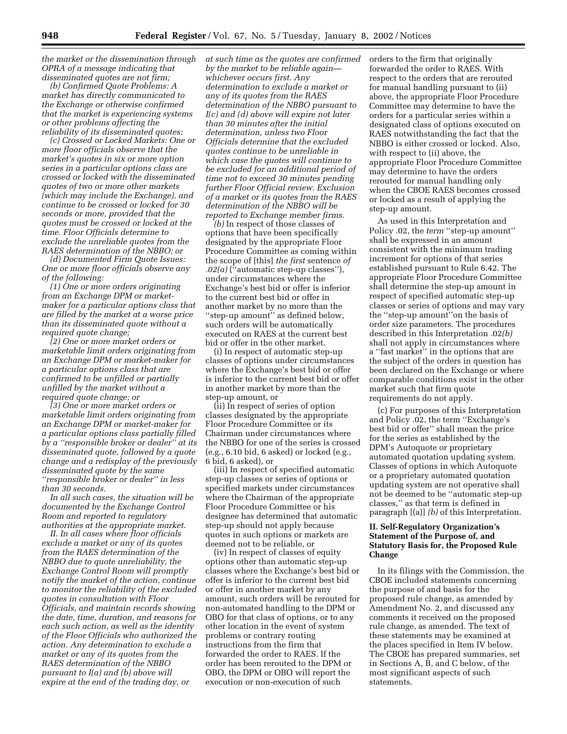*the market or the dissemination through OPRA of a message indicating that disseminated quotes are not firm;*

*(b) Confirmed Quote Problems: A market has directly communicated to the Exchange or otherwise confirmed that the market is experiencing systems or other problems affecting the reliability of its disseminated quotes;*

*(c) Crossed or Locked Markets: One or more floor officials observe that the market's quotes in six or more option series in a particular options class are crossed or locked with the disseminated quotes of two or more other markets (which may include the Exchange), and continue to be crossed or locked for 30 seconds or more, provided that the quotes must be crossed or locked at the time. Floor Officials determine to exclude the unreliable quotes from the RAES determination of the NBBO; or*

*(d) Documented Firm Quote Issues: One or more floor officials observe any of the following:*

*(1) One or more orders originating from an Exchange DPM or marketmaker for a particular options class that are filled by the market at a worse price than its disseminated quote without a required quote change;*

*(2) One or more market orders or marketable limit orders originating from an Exchange DPM or market-maker for a particular options class that are confirmed to be unfilled or partially unfilled by the market without a required quote change; or*

*(3) One or more market orders or marketable limit orders originating from an Exchange DPM or market-maker for a particular options class partially filled by a ''responsible broker or dealer'' at its disseminated quote, followed by a quote change and a redisplay of the previously disseminated quote by the same ''responsible broker or dealer'' in less than 30 seconds.*

*In all such cases, the situation will be documented by the Exchange Control Room and reported to regulatory authorities at the appropriate market.*

*II. In all cases where floor officials exclude a market or any of its quotes from the RAES determination of the NBBO due to quote unreliability, the Exchange Control Room will promptly notify the market of the action, continue to monitor the reliability of the excluded quotes in consultation with Floor Officials, and maintain records showing the date, time, duration, and reasons for each such action, as well as the identity of the Floor Officials who authorized the action. Any determination to exclude a market or any of its quotes from the RAES determination of the NBBO pursuant to I(a) and (b) above will expire at the end of the trading day, or*

*at such time as the quotes are confirmed by the market to be reliable again whichever occurs first. Any determination to exclude a market or any of its quotes from the RAES determination of the NBBO pursuant to I(c) and (d) above will expire not later than 30 minutes after the initial determination, unless two Floor Officials determine that the excluded quotes continue to be unreliable in which case the quotes will continue to be excluded for an additional period of time not to exceed 30 minutes pending further Floor Official review. Exclusion of a market or its quotes from the RAES determination of the NBBO will be reported to Exchange member firms.*

*(b)* In respect of those classes of options that have been specifically designated by the appropriate Floor Procedure Committee as coming within the scope of [this] *the first* sentence *of .02(a)* (''automatic step-up classes''), under circumstances where the Exchange's best bid or offer is inferior to the current best bid or offer in another market by no more than the ''step-up amount'' as defined below, such orders will be automatically executed on RAES at the current best bid or offer in the other market.

(i) In respect of automatic step-up classes of options under circumstances where the Exchange's best bid or offer is inferior to the current best bid or offer in another market by more than the step-up amount, or

(ii) In respect of series of option classes designated by the appropriate Floor Procedure Committee or its Chairman under circumstances where the NBBO for one of the series is crossed (e.g., 6.10 bid, 6 asked) or locked (e.g., 6 bid, 6 asked), or

(iii) In respect of specified automatic step-up classes or series of options or specified markets under circumstances where the Chairman of the appropriate Floor Procedure Committee or his designee has determined that automatic step-up should not apply because quotes in such options or markets are deemed not to be reliable, or

(iv) In respect of classes of equity options other than automatic step-up classes where the Exchange's best bid or offer is inferior to the current best bid or offer in another market by any amount, such orders will be rerouted for non-automated handling to the DPM or OBO for that class of options, or to any other location in the event of system problems or contrary routing instructions from the firm that forwarded the order to RAES. If the order has been rerouted to the DPM or OBO, the DPM or OBO will report the execution or non-execution of such

orders to the firm that originally forwarded the order to RAES. With respect to the orders that are rerouted for manual handling pursuant to (ii) above, the appropriate Floor Procedure Committee may determine to have the orders for a particular series within a designated class of options executed on RAES notwithstanding the fact that the NBBO is either crossed or locked. Also, with respect to (ii) above, the appropriate Floor Procedure Committee may determine to have the orders rerouted for manual handling only when the CBOE RAES becomes crossed or locked as a result of applying the step-up amount.

As used in this Interpretation and Policy .02, the *term* "step-up amount" shall be expressed in an amount consistent with the minimum trading increment for options of that series established pursuant to Rule 6.42. The appropriate Floor Procedure Committee shall determine the step-up amount in respect of specified automatic step-up classes or series of options and may vary the ''step-up amount''on the basis of order size parameters. The procedures described in this Interpretation .02*(b)* shall not apply in circumstances where a ''fast market'' in the options that are the subject of the orders in question has been declared on the Exchange or where comparable conditions exist in the other market such that firm quote requirements do not apply.

(c) For purposes of this Interpretation and Policy .02, the term ''Exchange's best bid or offer'' shall mean the price for the series as established by the DPM's Autoquote or proprietary automated quotation updating system. Classes of options in which Autoquote or a proprietary automated quotation updating system are not operative shall not be deemed to be ''automatic step-up classes,'' as that term is defined in paragraph [(a)] *(b)* of this Interpretation.

### **II. Self-Regulatory Organization's Statement of the Purpose of, and Statutory Basis for, the Proposed Rule Change**

In its filings with the Commission, the CBOE included statements concerning the purpose of and basis for the proposed rule change, as amended by Amendment No. 2, and discussed any comments it received on the proposed rule change, as amended. The text of these statements may be examined at the places specified in Item IV below. The CBOE has prepared summaries, set in Sections A, B, and C below, of the most significant aspects of such statements.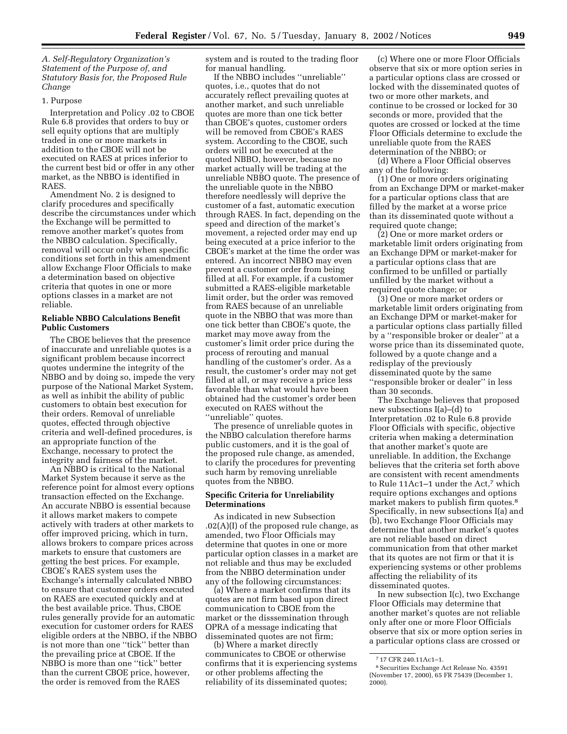*A. Self-Regulatory Organization's Statement of the Purpose of, and Statutory Basis for, the Proposed Rule Change*

### 1. Purpose

Interpretation and Policy .02 to CBOE Rule 6.8 provides that orders to buy or sell equity options that are multiply traded in one or more markets in addition to the CBOE will not be executed on RAES at prices inferior to the current best bid or offer in any other market, as the NBBO is identified in RAES.

Amendment No. 2 is designed to clarify procedures and specifically describe the circumstances under which the Exchange will be permitted to remove another market's quotes from the NBBO calculation. Specifically, removal will occur only when specific conditions set forth in this amendment allow Exchange Floor Officials to make a determination based on objective criteria that quotes in one or more options classes in a market are not reliable.

## **Reliable NBBO Calculations Benefit Public Customers**

The CBOE believes that the presence of inaccurate and unreliable quotes is a significant problem because incorrect quotes undermine the integrity of the NBBO and by doing so, impede the very purpose of the National Market System, as well as inhibit the ability of public customers to obtain best execution for their orders. Removal of unreliable quotes, effected through objective criteria and well-defined procedures, is an appropriate function of the Exchange, necessary to protect the integrity and fairness of the market.

An NBBO is critical to the National Market System because it serve as the reference point for almost every options transaction effected on the Exchange. An accurate NBBO is essential because it allows market makers to compete actively with traders at other markets to offer improved pricing, which in turn, allows brokers to compare prices across markets to ensure that customers are getting the best prices. For example, CBOE's RAES system uses the Exchange's internally calculated NBBO to ensure that customer orders executed on RAES are executed quickly and at the best available price. Thus, CBOE rules generally provide for an automatic execution for customer orders for RAES eligible orders at the NBBO, if the NBBO is not more than one ''tick'' better than the prevailing price at CBOE. If the NBBO is more than one ''tick'' better than the current CBOE price, however, the order is removed from the RAES

system and is routed to the trading floor for manual handling.

If the NBBO includes ''unreliable'' quotes, i.e., quotes that do not accurately reflect prevailing quotes at another market, and such unreliable quotes are more than one tick better than CBOE's quotes, customer orders will be removed from CBOE's RAES system. According to the CBOE, such orders will not be executed at the quoted NBBO, however, because no market actually will be trading at the unreliable NBBO quote. The presence of the unreliable quote in the NBBO therefore needlessly will deprive the customer of a fast, automatic execution through RAES. In fact, depending on the speed and direction of the market's movement, a rejected order may end up being executed at a price inferior to the CBOE's market at the time the order was entered. An incorrect NBBO may even prevent a customer order from being filled at all. For example, if a customer submitted a RAES-eligible marketable limit order, but the order was removed from RAES because of an unreliable quote in the NBBO that was more than one tick better than CBOE's quote, the market may move away from the customer's limit order price during the process of rerouting and manual handling of the customer's order. As a result, the customer's order may not get filled at all, or may receive a price less favorable than what would have been obtained had the customer's order been executed on RAES without the ''unreliable'' quotes.

The presence of unreliable quotes in the NBBO calculation therefore harms public customers, and it is the goal of the proposed rule change, as amended, to clarify the procedures for preventing such harm by removing unreliable quotes from the NBBO.

### **Specific Criteria for Unreliability Determinations**

As indicated in new Subsection  $.02(A)(I)$  of the proposed rule change, as amended, two Floor Officials may determine that quotes in one or more particular option classes in a market are not reliable and thus may be excluded from the NBBO determination under any of the following circumstances:

(a) Where a market confirms that its quotes are not firm based upon direct communication to CBOE from the market or the disssemination through OPRA of a message indicating that disseminated quotes are not firm;

(b) Where a market directly communicates to CBOE or otherwise confirms that it is experiencing systems or other problems affecting the reliability of its disseminated quotes;

(c) Where one or more Floor Officials observe that six or more option series in a particular options class are crossed or locked with the disseminated quotes of two or more other markets, and continue to be crossed or locked for 30 seconds or more, provided that the quotes are crossed or locked at the time Floor Officials determine to exclude the unreliable quote from the RAES determination of the NBBO; or

(d) Where a Floor Official observes any of the following:

(1) One or more orders originating from an Exchange DPM or market-maker for a particular options class that are filled by the market at a worse price than its disseminated quote without a required quote change;

(2) One or more market orders or marketable limit orders originating from an Exchange DPM or market-maker for a particular options class that are confirmed to be unfilled or partially unfilled by the market without a required quote change; or

(3) One or more market orders or marketable limit orders originating from an Exchange DPM or market-maker for a particular options class partially filled by a ''responsible broker or dealer'' at a worse price than its disseminated quote, followed by a quote change and a redisplay of the previously disseminated quote by the same ''responsible broker or dealer'' in less than 30 seconds.

The Exchange believes that proposed new subsections I(a)–(d) to Interpretation .02 to Rule 6.8 provide Floor Officials with specific, objective criteria when making a determination that another market's quote are unreliable. In addition, the Exchange believes that the criteria set forth above are consistent with recent amendments to Rule 11Ac1-1 under the Act,<sup>7</sup> which require options exchanges and options market makers to publish firm quotes.8 Specifically, in new subsections I(a) and (b), two Exchange Floor Officials may determine that another market's quotes are not reliable based on direct communication from that other market that its quotes are not firm or that it is experiencing systems or other problems affecting the reliability of its disseminated quotes.

In new subsection I(c), two Exchange Floor Officials may determine that another market's quotes are not reliable only after one or more Floor Officials observe that six or more option series in a particular options class are crossed or

<sup>7</sup> 17 CFR 240.11Ac1–1.

<sup>8</sup>Securities Exchange Act Release No. 43591 (November 17, 2000), 65 FR 75439 (December 1, 2000).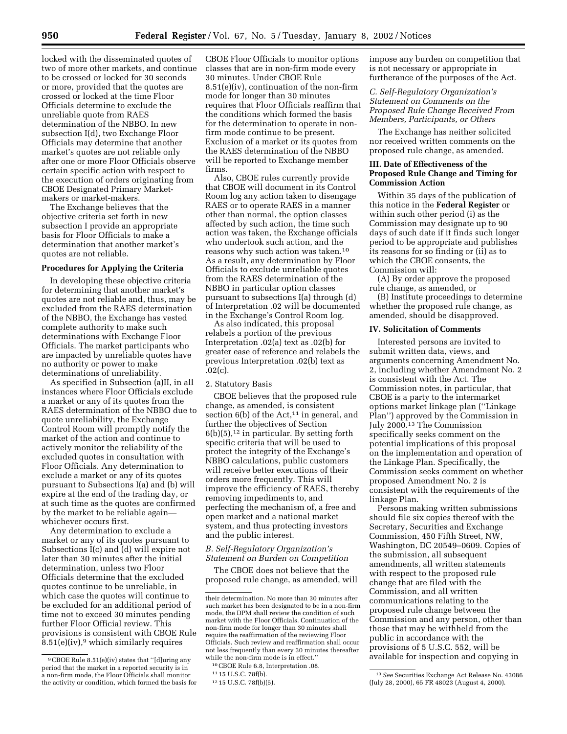locked with the disseminated quotes of two of more other markets, and continue to be crossed or locked for 30 seconds or more, provided that the quotes are crossed or locked at the time Floor Officials determine to exclude the unreliable quote from RAES determination of the NBBO. In new subsection I(d), two Exchange Floor Officials may determine that another market's quotes are not reliable only after one or more Floor Officials observe certain specific action with respect to the execution of orders originating from CBOE Designated Primary Marketmakers or market-makers.

The Exchange believes that the objective criteria set forth in new subsection I provide an appropriate basis for Floor Officials to make a determination that another market's quotes are not reliable.

# **Procedures for Applying the Criteria**

In developing these objective criteria for determining that another market's quotes are not reliable and, thus, may be excluded from the RAES determination of the NBBO, the Exchange has vested complete authority to make such determinations with Exchange Floor Officials. The market participants who are impacted by unreliable quotes have no authority or power to make determinations of unreliability.

As specified in Subsection (a)II, in all instances where Floor Officials exclude a market or any of its quotes from the RAES determination of the NBBO due to quote unreliability, the Exchange Control Room will promptly notify the market of the action and continue to actively monitor the reliability of the excluded quotes in consultation with Floor Officials. Any determination to exclude a market or any of its quotes pursuant to Subsections I(a) and (b) will expire at the end of the trading day, or at such time as the quotes are confirmed by the market to be reliable again whichever occurs first.

Any determination to exclude a market or any of its quotes pursuant to Subsections I(c) and (d) will expire not later than 30 minutes after the initial determination, unless two Floor Officials determine that the excluded quotes continue to be unreliable, in which case the quotes will continue to be excluded for an additional period of time not to exceed 30 minutes pending further Floor Official review. This provisions is consistent with CBOE Rule  $8.51(e)(iv)$ ,<sup>9</sup> which similarly requires

CBOE Floor Officials to monitor options classes that are in non-firm mode every 30 minutes. Under CBOE Rule 8.51(e)(iv), continuation of the non-firm mode for longer than 30 minutes requires that Floor Officials reaffirm that the conditions which formed the basis for the determination to operate in nonfirm mode continue to be present. Exclusion of a market or its quotes from the RAES determination of the NBBO will be reported to Exchange member firms.

Also, CBOE rules currently provide that CBOE will document in its Control Room log any action taken to disengage RAES or to operate RAES in a manner other than normal, the option classes affected by such action, the time such action was taken, the Exchange officials who undertook such action, and the reasons why such action was taken.10 As a result, any determination by Floor Officials to exclude unreliable quotes from the RAES determination of the NBBO in particular option classes pursuant to subsections I(a) through (d) of Interpretation .02 will be documented in the Exchange's Control Room log.

As also indicated, this proposal relabels a portion of the previous Interpretation .02(a) text as .02(b) for greater ease of reference and relabels the previous Interpretation .02(b) text as .02(c).

### 2. Statutory Basis

CBOE believes that the proposed rule change, as amended, is consistent section  $6(b)$  of the Act,<sup>11</sup> in general, and further the objectives of Section  $6(b)(5)$ ,<sup>12</sup> in particular. By setting forth specific criteria that will be used to protect the integrity of the Exchange's NBBO calculations, public customers will receive better executions of their orders more frequently. This will improve the efficiency of RAES, thereby removing impediments to, and perfecting the mechanism of, a free and open market and a national market system, and thus protecting investors and the public interest.

# *B. Self-Regulatory Organization's Statement on Burden on Competition*

The CBOE does not believe that the proposed rule change, as amended, will impose any burden on competition that is not necessary or appropriate in furtherance of the purposes of the Act.

## *C. Self-Regulatory Organization's Statement on Comments on the Proposed Rule Change Received From Members, Participants, or Others*

The Exchange has neither solicited nor received written comments on the proposed rule change, as amended.

### **III. Date of Effectiveness of the Proposed Rule Change and Timing for Commission Action**

Within 35 days of the publication of this notice in the **Federal Register** or within such other period (i) as the Commission may designate up to 90 days of such date if it finds such longer period to be appropriate and publishes its reasons for so finding or (ii) as to which the CBOE consents, the Commission will:

(A) By order approve the proposed rule change, as amended, or

(B) Institute proceedings to determine whether the proposed rule change, as amended, should be disapproved.

## **IV. Solicitation of Comments**

Interested persons are invited to submit written data, views, and arguments concerning Amendment No. 2, including whether Amendment No. 2 is consistent with the Act. The Commission notes, in particular, that CBOE is a party to the intermarket options market linkage plan (''Linkage Plan'') approved by the Commission in July 2000.13 The Commission specifically seeks comment on the potential implications of this proposal on the implementation and operation of the Linkage Plan. Specifically, the Commission seeks comment on whether proposed Amendment No. 2 is consistent with the requirements of the linkage Plan.

Persons making written submissions should file six copies thereof with the Secretary, Securities and Exchange Commission, 450 Fifth Street, NW, Washington, DC 20549–0609. Copies of the submission, all subsequent amendments, all written statements with respect to the proposed rule change that are filed with the Commission, and all written communications relating to the proposed rule change between the Commission and any person, other than those that may be withheld from the public in accordance with the provisions of 5 U.S.C. 552, will be available for inspection and copying in

<sup>9</sup>CBOE Rule 8.51(e)(iv) states that ''[d]uring any period that the market in a reported security is in a non-firm mode, the Floor Officials shall monitor the activity or condition, which formed the basis for

their determination. No more than 30 minutes after such market has been designated to be in a non-firm mode, the DPM shall review the condition of such market with the Floor Officials. Continuation of the non-firm mode for longer than 30 minutes shall require the reaffirmation of the reviewing Floor Officials. Such review and reaffirmation shall occur not less frequently than every 30 minutes thereafter while the non-firm mode is in effect.''

<sup>10</sup>CBOE Rule 6.8, Interpretation .08.

<sup>11</sup> 15 U.S.C. 78f(b).

<sup>12</sup> 15 U.S.C. 78f(b)(5).

<sup>13</sup>*See* Securities Exchange Act Release No. 43086 (July 28, 2000), 65 FR 48023 (August 4, 2000).